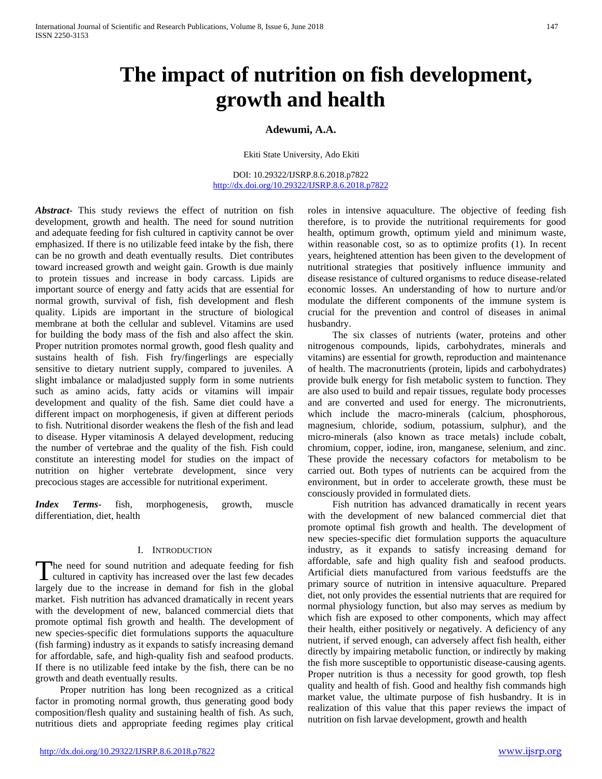# **The impact of nutrition on fish development, growth and health**

# **Adewumi, A.A.**

Ekiti State University, Ado Ekiti

DOI: 10.29322/IJSRP.8.6.2018.p7822 <http://dx.doi.org/10.29322/IJSRP.8.6.2018.p7822>

*Abstract***-** This study reviews the effect of nutrition on fish development, growth and health. The need for sound nutrition and adequate feeding for fish cultured in captivity cannot be over emphasized. If there is no utilizable feed intake by the fish, there can be no growth and death eventually results. Diet contributes toward increased growth and weight gain. Growth is due mainly to protein tissues and increase in body carcass. Lipids are important source of energy and fatty acids that are essential for normal growth, survival of fish, fish development and flesh quality. Lipids are important in the structure of biological membrane at both the cellular and sublevel. Vitamins are used for building the body mass of the fish and also affect the skin. Proper nutrition promotes normal growth, good flesh quality and sustains health of fish. Fish fry/fingerlings are especially sensitive to dietary nutrient supply, compared to juveniles. A slight imbalance or maladjusted supply form in some nutrients such as amino acids, fatty acids or vitamins will impair development and quality of the fish. Same diet could have a different impact on morphogenesis, if given at different periods to fish. Nutritional disorder weakens the flesh of the fish and lead to disease. Hyper vitaminosis A delayed development, reducing the number of vertebrae and the quality of the fish. Fish could constitute an interesting model for studies on the impact of nutrition on higher vertebrate development, since very precocious stages are accessible for nutritional experiment.

*Index Terms*- fish, morphogenesis, growth, muscle differentiation, diet, health

### I. INTRODUCTION

he need for sound nutrition and adequate feeding for fish The need for sound nutrition and adequate feeding for fish cultured in captivity has increased over the last few decades largely due to the increase in demand for fish in the global market. Fish nutrition has advanced dramatically in recent years with the development of new, balanced commercial diets that promote optimal fish growth and health. The development of new species-specific diet formulations supports the aquaculture (fish farming) industry as it expands to satisfy increasing demand for affordable, safe, and high-quality fish and seafood products. If there is no utilizable feed intake by the fish, there can be no growth and death eventually results.

 Proper nutrition has long been recognized as a critical factor in promoting normal growth, thus generating good body composition/flesh quality and sustaining health of fish. As such, nutritious diets and appropriate feeding regimes play critical roles in intensive aquaculture. The objective of feeding fish therefore, is to provide the nutritional requirements for good health, optimum growth, optimum yield and minimum waste, within reasonable cost, so as to optimize profits (1). In recent years, heightened attention has been given to the development of nutritional strategies that positively influence immunity and disease resistance of cultured organisms to reduce disease-related economic losses. An understanding of how to nurture and/or modulate the different components of the immune system is crucial for the prevention and control of diseases in animal husbandry.

 The six classes of nutrients (water, proteins and other nitrogenous compounds, lipids, carbohydrates, minerals and vitamins) are essential for growth, reproduction and maintenance of health. The macronutrients (protein, lipids and carbohydrates) provide bulk energy for fish metabolic system to function. They are also used to build and repair tissues, regulate body processes and are converted and used for energy. The micronutrients, which include the macro-minerals (calcium, phosphorous, magnesium, chloride, sodium, potassium, sulphur), and the micro-minerals (also known as trace metals) include cobalt, chromium, copper, iodine, iron, manganese, selenium, and zinc. These provide the necessary cofactors for metabolism to be carried out. Both types of nutrients can be acquired from the environment, but in order to accelerate growth, these must be consciously provided in formulated diets.

 Fish nutrition has advanced dramatically in recent years with the development of new balanced commercial diet that promote optimal fish growth and health. The development of new species-specific diet formulation supports the aquaculture industry, as it expands to satisfy increasing demand for affordable, safe and high quality fish and seafood products. Artificial diets manufactured from various feedstuffs are the primary source of nutrition in intensive aquaculture. Prepared diet, not only provides the essential nutrients that are required for normal physiology function, but also may serves as medium by which fish are exposed to other components, which may affect their health, either positively or negatively. A deficiency of any nutrient, if served enough, can adversely affect fish health, either directly by impairing metabolic function, or indirectly by making the fish more susceptible to opportunistic disease-causing agents. Proper nutrition is thus a necessity for good growth, top flesh quality and health of fish. Good and healthy fish commands high market value, the ultimate purpose of fish husbandry. It is in realization of this value that this paper reviews the impact of nutrition on fish larvae development, growth and health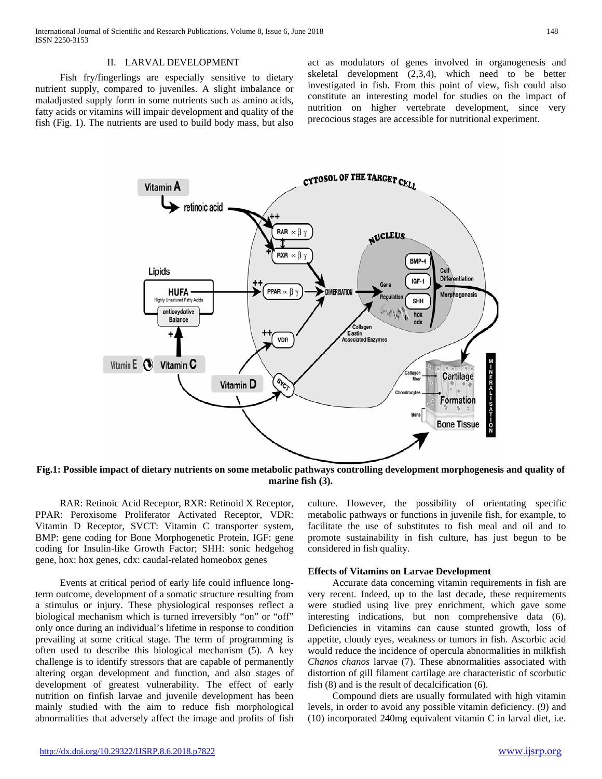#### II. LARVAL DEVELOPMENT

 Fish fry/fingerlings are especially sensitive to dietary nutrient supply, compared to juveniles. A slight imbalance or maladjusted supply form in some nutrients such as amino acids, fatty acids or vitamins will impair development and quality of the fish (Fig. 1). The nutrients are used to build body mass, but also act as modulators of genes involved in organogenesis and skeletal development (2,3,4), which need to be better investigated in fish. From this point of view, fish could also constitute an interesting model for studies on the impact of nutrition on higher vertebrate development, since very precocious stages are accessible for nutritional experiment.



**Fig.1: Possible impact of dietary nutrients on some metabolic pathways controlling development morphogenesis and quality of marine fish (3).**

 RAR: Retinoic Acid Receptor, RXR: Retinoid X Receptor, PPAR: Peroxisome Proliferator Activated Receptor, VDR: Vitamin D Receptor, SVCT: Vitamin C transporter system, BMP: gene coding for Bone Morphogenetic Protein, IGF: gene coding for Insulin-like Growth Factor; SHH: sonic hedgehog gene, hox: hox genes, cdx: caudal-related homeobox genes

 Events at critical period of early life could influence longterm outcome, development of a somatic structure resulting from a stimulus or injury. These physiological responses reflect a biological mechanism which is turned irreversibly "on" or "off" only once during an individual's lifetime in response to condition prevailing at some critical stage. The term of programming is often used to describe this biological mechanism (5). A key challenge is to identify stressors that are capable of permanently altering organ development and function, and also stages of development of greatest vulnerability. The effect of early nutrition on finfish larvae and juvenile development has been mainly studied with the aim to reduce fish morphological abnormalities that adversely affect the image and profits of fish culture. However, the possibility of orientating specific metabolic pathways or functions in juvenile fish, for example, to facilitate the use of substitutes to fish meal and oil and to promote sustainability in fish culture, has just begun to be considered in fish quality.

#### **Effects of Vitamins on Larvae Development**

 Accurate data concerning vitamin requirements in fish are very recent. Indeed, up to the last decade, these requirements were studied using live prey enrichment, which gave some interesting indications, but non comprehensive data (6). Deficiencies in vitamins can cause stunted growth, loss of appetite, cloudy eyes, weakness or tumors in fish. Ascorbic acid would reduce the incidence of opercula abnormalities in milkfish *Chanos chanos* larvae (7). These abnormalities associated with distortion of gill filament cartilage are characteristic of scorbutic fish (8) and is the result of decalcification (6).

 Compound diets are usually formulated with high vitamin levels, in order to avoid any possible vitamin deficiency. (9) and (10) incorporated 240mg equivalent vitamin C in larval diet, i.e.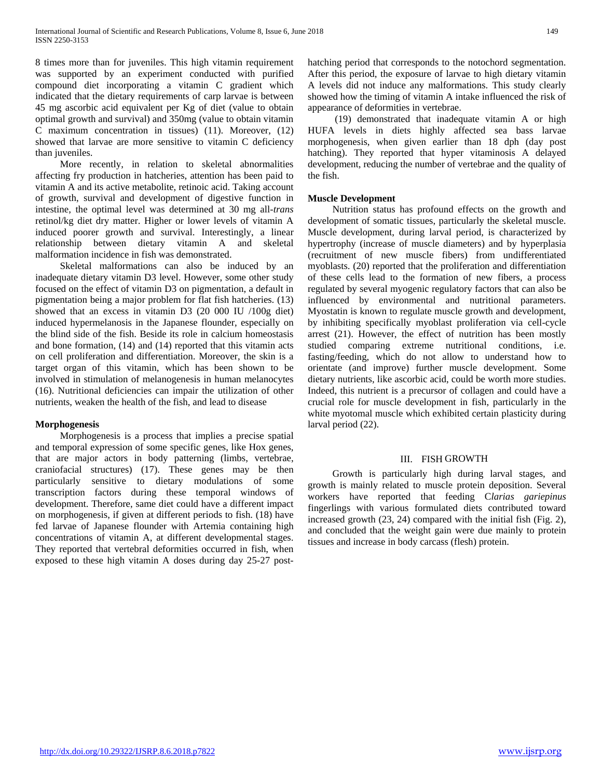8 times more than for juveniles. This high vitamin requirement was supported by an experiment conducted with purified compound diet incorporating a vitamin C gradient which indicated that the dietary requirements of carp larvae is between 45 mg ascorbic acid equivalent per Kg of diet (value to obtain optimal growth and survival) and 350mg (value to obtain vitamin C maximum concentration in tissues) (11). Moreover, (12) showed that larvae are more sensitive to vitamin C deficiency than juveniles.

 More recently, in relation to skeletal abnormalities affecting fry production in hatcheries, attention has been paid to vitamin A and its active metabolite, retinoic acid. Taking account of growth, survival and development of digestive function in intestine, the optimal level was determined at 30 mg all-*trans*  retinol/kg diet dry matter. Higher or lower levels of vitamin A induced poorer growth and survival. Interestingly, a linear relationship between dietary vitamin A and skeletal malformation incidence in fish was demonstrated.

 Skeletal malformations can also be induced by an inadequate dietary vitamin D3 level. However, some other study focused on the effect of vitamin D3 on pigmentation, a default in pigmentation being a major problem for flat fish hatcheries. (13) showed that an excess in vitamin D3 (20 000 IU /100g diet) induced hypermelanosis in the Japanese flounder, especially on the blind side of the fish. Beside its role in calcium homeostasis and bone formation, (14) and (14) reported that this vitamin acts on cell proliferation and differentiation. Moreover, the skin is a target organ of this vitamin, which has been shown to be involved in stimulation of melanogenesis in human melanocytes (16). Nutritional deficiencies can impair the utilization of other nutrients, weaken the health of the fish, and lead to disease

### **Morphogenesis**

 Morphogenesis is a process that implies a precise spatial and temporal expression of some specific genes, like Hox genes, that are major actors in body patterning (limbs, vertebrae, craniofacial structures) (17). These genes may be then particularly sensitive to dietary modulations of some transcription factors during these temporal windows of development. Therefore, same diet could have a different impact on morphogenesis, if given at different periods to fish. (18) have fed larvae of Japanese flounder with Artemia containing high concentrations of vitamin A, at different developmental stages. They reported that vertebral deformities occurred in fish, when exposed to these high vitamin A doses during day 25-27 posthatching period that corresponds to the notochord segmentation. After this period, the exposure of larvae to high dietary vitamin A levels did not induce any malformations. This study clearly showed how the timing of vitamin A intake influenced the risk of appearance of deformities in vertebrae.

 (19) demonstrated that inadequate vitamin A or high HUFA levels in diets highly affected sea bass larvae morphogenesis, when given earlier than 18 dph (day post hatching). They reported that hyper vitaminosis A delayed development, reducing the number of vertebrae and the quality of the fish.

# **Muscle Development**

 Nutrition status has profound effects on the growth and development of somatic tissues, particularly the skeletal muscle. Muscle development, during larval period, is characterized by hypertrophy (increase of muscle diameters) and by hyperplasia (recruitment of new muscle fibers) from undifferentiated myoblasts. (20) reported that the proliferation and differentiation of these cells lead to the formation of new fibers, a process regulated by several myogenic regulatory factors that can also be influenced by environmental and nutritional parameters. Myostatin is known to regulate muscle growth and development, by inhibiting specifically myoblast proliferation via cell-cycle arrest (21). However, the effect of nutrition has been mostly studied comparing extreme nutritional conditions, i.e. fasting/feeding, which do not allow to understand how to orientate (and improve) further muscle development. Some dietary nutrients, like ascorbic acid, could be worth more studies. Indeed, this nutrient is a precursor of collagen and could have a crucial role for muscle development in fish, particularly in the white myotomal muscle which exhibited certain plasticity during larval period (22).

### III. FISH GROWTH

 Growth is particularly high during larval stages, and growth is mainly related to muscle protein deposition. Several workers have reported that feeding C*larias gariepinus*  fingerlings with various formulated diets contributed toward increased growth (23, 24) compared with the initial fish (Fig. 2), and concluded that the weight gain were due mainly to protein tissues and increase in body carcass (flesh) protein.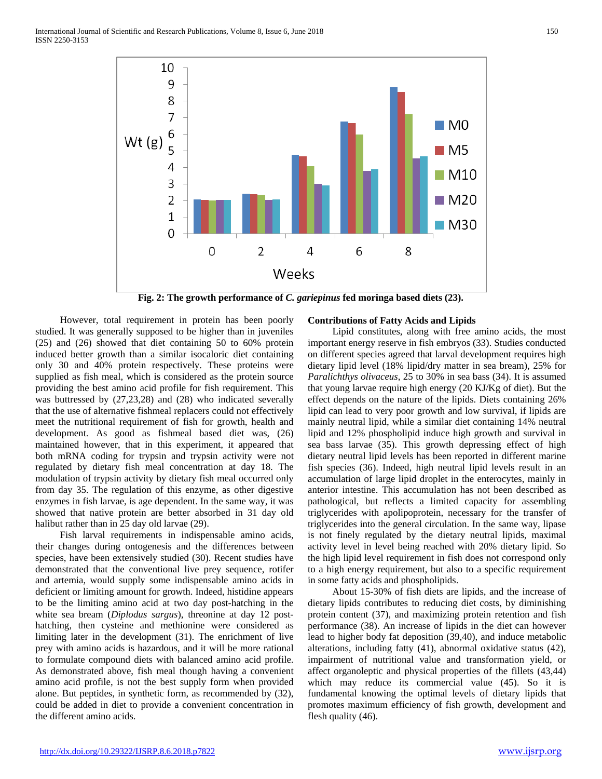

**Fig. 2: The growth performance of** *C. gariepinus* **fed moringa based diets (23).**

 However, total requirement in protein has been poorly studied. It was generally supposed to be higher than in juveniles (25) and (26) showed that diet containing 50 to 60% protein induced better growth than a similar isocaloric diet containing only 30 and 40% protein respectively. These proteins were supplied as fish meal, which is considered as the protein source providing the best amino acid profile for fish requirement. This was buttressed by (27,23,28) and (28) who indicated severally that the use of alternative fishmeal replacers could not effectively meet the nutritional requirement of fish for growth, health and development. As good as fishmeal based diet was, (26) maintained however, that in this experiment, it appeared that both mRNA coding for trypsin and trypsin activity were not regulated by dietary fish meal concentration at day 18. The modulation of trypsin activity by dietary fish meal occurred only from day 35. The regulation of this enzyme, as other digestive enzymes in fish larvae, is age dependent. In the same way, it was showed that native protein are better absorbed in 31 day old halibut rather than in 25 day old larvae (29).

 Fish larval requirements in indispensable amino acids, their changes during ontogenesis and the differences between species, have been extensively studied (30). Recent studies have demonstrated that the conventional live prey sequence, rotifer and artemia, would supply some indispensable amino acids in deficient or limiting amount for growth. Indeed, histidine appears to be the limiting amino acid at two day post-hatching in the white sea bream (*Diplodus sargus*), threonine at day 12 posthatching, then cysteine and methionine were considered as limiting later in the development (31). The enrichment of live prey with amino acids is hazardous, and it will be more rational to formulate compound diets with balanced amino acid profile. As demonstrated above, fish meal though having a convenient amino acid profile, is not the best supply form when provided alone. But peptides, in synthetic form, as recommended by (32), could be added in diet to provide a convenient concentration in the different amino acids.

# **Contributions of Fatty Acids and Lipids**

 Lipid constitutes, along with free amino acids, the most important energy reserve in fish embryos (33). Studies conducted on different species agreed that larval development requires high dietary lipid level (18% lipid/dry matter in sea bream), 25% for *Paralichthys olivaceus*, 25 to 30% in sea bass (34). It is assumed that young larvae require high energy (20 KJ/Kg of diet). But the effect depends on the nature of the lipids. Diets containing 26% lipid can lead to very poor growth and low survival, if lipids are mainly neutral lipid, while a similar diet containing 14% neutral lipid and 12% phospholipid induce high growth and survival in sea bass larvae (35). This growth depressing effect of high dietary neutral lipid levels has been reported in different marine fish species (36). Indeed, high neutral lipid levels result in an accumulation of large lipid droplet in the enterocytes, mainly in anterior intestine. This accumulation has not been described as pathological, but reflects a limited capacity for assembling triglycerides with apolipoprotein, necessary for the transfer of triglycerides into the general circulation. In the same way, lipase is not finely regulated by the dietary neutral lipids, maximal activity level in level being reached with 20% dietary lipid. So the high lipid level requirement in fish does not correspond only to a high energy requirement, but also to a specific requirement in some fatty acids and phospholipids.

 About 15-30% of fish diets are lipids, and the increase of dietary lipids contributes to reducing diet costs, by diminishing protein content (37), and maximizing protein retention and fish performance (38). An increase of lipids in the diet can however lead to higher body fat deposition (39,40), and induce metabolic alterations, including fatty (41), abnormal oxidative status (42), impairment of nutritional value and transformation yield, or affect organoleptic and physical properties of the fillets (43,44) which may reduce its commercial value (45). So it is fundamental knowing the optimal levels of dietary lipids that promotes maximum efficiency of fish growth, development and flesh quality (46).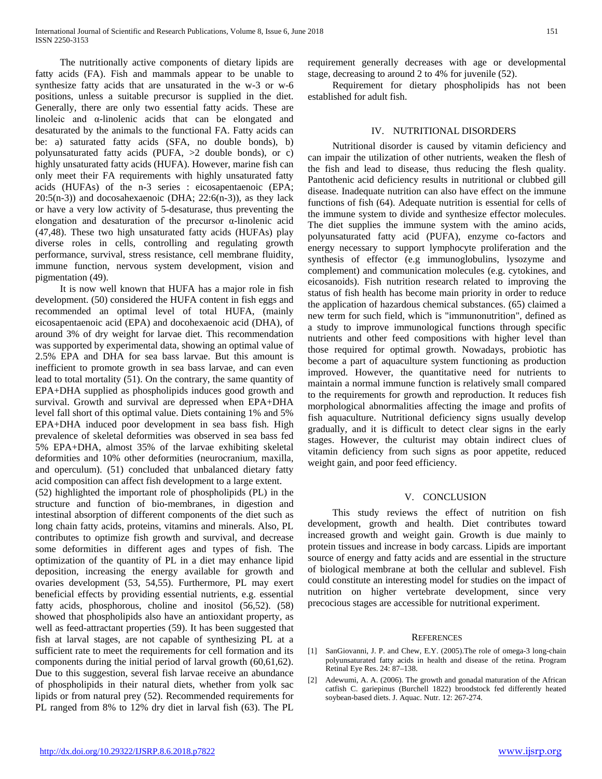The nutritionally active components of dietary lipids are fatty acids (FA). Fish and mammals appear to be unable to synthesize fatty acids that are unsaturated in the w-3 or w-6 positions, unless a suitable precursor is supplied in the diet. Generally, there are only two essential fatty acids. These are linoleic and α-linolenic acids that can be elongated and desaturated by the animals to the functional FA. Fatty acids can be: a) saturated fatty acids (SFA, no double bonds), b) polyunsaturated fatty acids (PUFA, >2 double bonds), or c) highly unsaturated fatty acids (HUFA). However, marine fish can only meet their FA requirements with highly unsaturated fatty acids (HUFAs) of the n-3 series : eicosapentaenoic (EPA;  $20:5(n-3)$  and docosahexaenoic (DHA;  $22:6(n-3)$ ), as they lack or have a very low activity of 5-desaturase, thus preventing the elongation and desaturation of the precursor α-linolenic acid (47,48). These two high unsaturated fatty acids (HUFAs) play diverse roles in cells, controlling and regulating growth performance, survival, stress resistance, cell membrane fluidity, immune function, nervous system development, vision and pigmentation (49).

 It is now well known that HUFA has a major role in fish development. (50) considered the HUFA content in fish eggs and recommended an optimal level of total HUFA, (mainly eicosapentaenoic acid (EPA) and docohexaenoic acid (DHA), of around 3% of dry weight for larvae diet. This recommendation was supported by experimental data, showing an optimal value of 2.5% EPA and DHA for sea bass larvae. But this amount is inefficient to promote growth in sea bass larvae, and can even lead to total mortality (51). On the contrary, the same quantity of EPA+DHA supplied as phospholipids induces good growth and survival. Growth and survival are depressed when EPA+DHA level fall short of this optimal value. Diets containing 1% and 5% EPA+DHA induced poor development in sea bass fish. High prevalence of skeletal deformities was observed in sea bass fed 5% EPA+DHA, almost 35% of the larvae exhibiting skeletal deformities and 10% other deformities (neurocranium, maxilla, and operculum). (51) concluded that unbalanced dietary fatty acid composition can affect fish development to a large extent.

(52) highlighted the important role of phospholipids (PL) in the structure and function of bio-membranes, in digestion and intestinal absorption of different components of the diet such as long chain fatty acids, proteins, vitamins and minerals. Also, PL contributes to optimize fish growth and survival, and decrease some deformities in different ages and types of fish. The optimization of the quantity of PL in a diet may enhance lipid deposition, increasing the energy available for growth and ovaries development (53, 54,55). Furthermore, PL may exert beneficial effects by providing essential nutrients, e.g. essential fatty acids, phosphorous, choline and inositol (56,52). (58) showed that phospholipids also have an antioxidant property, as well as feed-attractant properties (59). It has been suggested that fish at larval stages, are not capable of synthesizing PL at a sufficient rate to meet the requirements for cell formation and its components during the initial period of larval growth (60,61,62). Due to this suggestion, several fish larvae receive an abundance of phospholipids in their natural diets, whether from yolk sac lipids or from natural prey (52). Recommended requirements for PL ranged from 8% to 12% dry diet in larval fish (63). The PL requirement generally decreases with age or developmental stage, decreasing to around 2 to 4% for juvenile (52).

 Requirement for dietary phospholipids has not been established for adult fish.

# IV. NUTRITIONAL DISORDERS

 Nutritional disorder is caused by vitamin deficiency and can impair the utilization of other nutrients, weaken the flesh of the fish and lead to disease, thus reducing the flesh quality. Pantothenic acid deficiency results in nutritional or clubbed gill disease. Inadequate nutrition can also have effect on the immune functions of fish (64). Adequate nutrition is essential for cells of the immune system to divide and synthesize effector molecules. The diet supplies the immune system with the amino acids, polyunsaturated fatty acid (PUFA), enzyme co-factors and energy necessary to support lymphocyte proliferation and the synthesis of effector (e.g immunoglobulins, lysozyme and complement) and communication molecules (e.g. cytokines, and eicosanoids). Fish nutrition research related to improving the status of fish health has become main priority in order to reduce the application of hazardous chemical substances. (65) claimed a new term for such field, which is "immunonutrition", defined as a study to improve immunological functions through specific nutrients and other feed compositions with higher level than those required for optimal growth. Nowadays, probiotic has become a part of aquaculture system functioning as production improved. However, the quantitative need for nutrients to maintain a normal immune function is relatively small compared to the requirements for growth and reproduction. It reduces fish morphological abnormalities affecting the image and profits of fish aquaculture. Nutritional deficiency signs usually develop gradually, and it is difficult to detect clear signs in the early stages. However, the culturist may obtain indirect clues of vitamin deficiency from such signs as poor appetite, reduced weight gain, and poor feed efficiency.

#### V. CONCLUSION

 This study reviews the effect of nutrition on fish development, growth and health. Diet contributes toward increased growth and weight gain. Growth is due mainly to protein tissues and increase in body carcass. Lipids are important source of energy and fatty acids and are essential in the structure of biological membrane at both the cellular and sublevel. Fish could constitute an interesting model for studies on the impact of nutrition on higher vertebrate development, since very precocious stages are accessible for nutritional experiment.

#### **REFERENCES**

- [1] SanGiovanni, J. P. and Chew, E.Y. (2005). The role of omega-3 long-chain polyunsaturated fatty acids in health and disease of the retina. Program Retinal Eye Res. 24: 87–138.
- [2] Adewumi, A. A. (2006). The growth and gonadal maturation of the African catfish C. gariepinus (Burchell 1822) broodstock fed differently heated soybean-based diets. J. Aquac. Nutr. 12: 267-274.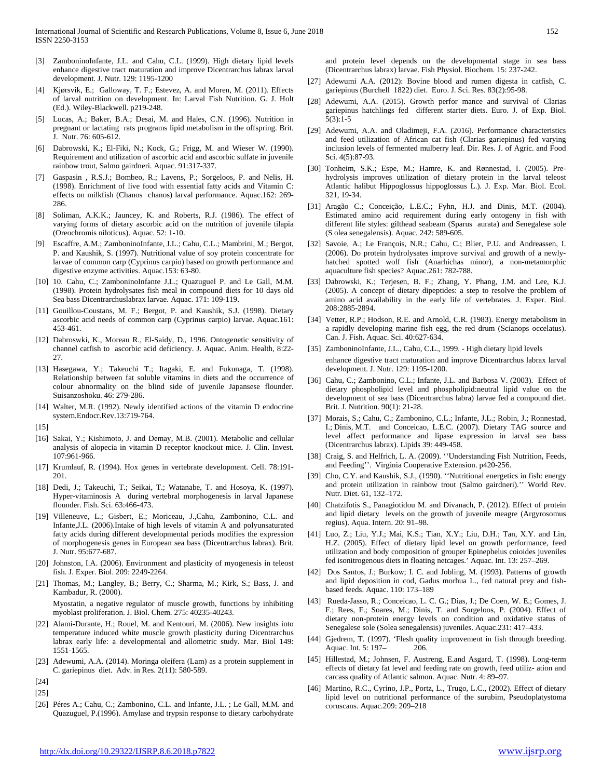- [3] ZamboninoInfante, J.L. and Cahu, C.L. (1999). High dietary lipid levels enhance digestive tract maturation and improve Dicentrarchus labrax larval development. J. Nutr. 129: 1195-1200
- Kjørsvik, E.; Galloway, T. F.; Estevez, A. and Moren, M. (2011). Effects of larval nutrition on development. In: Larval Fish Nutrition. G. J. Holt (Ed.). Wiley-Blackwell. p219-248.
- [5] Lucas, A.; Baker, B.A.; Desai, M. and Hales, C.N. (1996). Nutrition in pregnant or lactating rats programs lipid metabolism in the offspring. Brit. J. Nutr. 76: 605-612.
- [6] Dabrowski, K.; El-Fiki, N.; Kock, G.; Frigg, M. and Wieser W. (1990). Requirement and utilization of ascorbic acid and ascorbic sulfate in juvenile rainbow trout, Salmo gairdneri. Aquac. 91:317-337.
- [7] Gaspasin , R.S.J.; Bombeo, R.; Lavens, P.; Sorgeloos, P. and Nelis, H. (1998). Enrichment of live food with essential fatty acids and Vitamin C: effects on milkfish (Chanos chanos) larval performance. Aquac.162: 269- 286.
- [8] Soliman, A.K.K.; Jauncey, K. and Roberts, R.J. (1986). The effect of varying forms of dietary ascorbic acid on the nutrition of juvenile tilapia (Oreochromis niloticus). Aquac. 52: 1-10.
- [9] Escaffre, A.M.; ZamboninoInfante, J.L.; Cahu, C.L.; Mambrini, M.; Bergot, P. and Kaushik, S. (1997). Nutritional value of soy protein concentrate for larvae of common carp (Cyprinus carpio) based on growth performance and digestive enzyme activities. Aquac.153: 63-80.
- [10] 10. Cahu, C.; ZamboninoInfante J.L.; Quazuguel P. and Le Gall, M.M. (1998). Protein hydrolysates fish meal in compound diets for 10 days old Sea bass Dicentrarchuslabrax larvae. Aquac. 171: 109-119.
- [11] Gouillou-Coustans, M. F.; Bergot, P. and Kaushik, S.J. (1998). Dietary ascorbic acid needs of common carp (Cyprinus carpio) larvae. Aquac.161: 453-461.
- [12] Dabroswki, K., Moreau R., El-Saidy, D., 1996. Ontogenetic sensitivity of channel catfish to ascorbic acid deficiency. J. Aquac. Anim. Health, 8:22- 27.
- [13] Hasegawa, Y.; Takeuchi T.; Itagaki, E. and Fukunaga, T. (1998). Relationship between fat soluble vitamins in diets and the occurrence of colour abnormality on the blind side of juvenile Japansese flounder. Suisanzoshoku. 46: 279-286.
- [14] Walter, M.R. (1992). Newly identified actions of the vitamin D endocrine system.Endocr.Rev.13:719-764.

[15]

- [16] Sakai, Y.; Kishimoto, J. and Demay, M.B. (2001). Metabolic and cellular analysis of alopecia in vitamin D receptor knockout mice. J. Clin. Invest. 107:961-966.
- [17] Krumlauf, R. (1994). Hox genes in vertebrate development. Cell. 78:191- 201.
- [18] Dedi, J.; Takeuchi, T.; Seikai, T.; Watanabe, T. and Hosoya, K. (1997). Hyper-vitaminosis A during vertebral morphogenesis in larval Japanese flounder. Fish. Sci. 63:466-473.
- [19] Villeneuve, L.; Gisbert, E.; Moriceau, J.,Cahu, Zambonino, C.L. and Infante,J.L. (2006).Intake of high levels of vitamin A and polyunsaturated fatty acids during different developmental periods modifies the expression of morphogenesis genes in European sea bass (Dicentrarchus labrax). Brit. J. Nutr. 95:677-687.
- [20] Johnston, I.A. (2006). Environment and plasticity of myogenesis in teleost fish. J. Exper. Biol. 209: 2249-2264.
- [21] Thomas, M.; Langley, B.; Berry, C.; Sharma, M.; Kirk, S.; Bass, J. and Kambadur, R. (2000).

Myostatin, a negative regulator of muscle growth, functions by inhibiting myoblast proliferation. J. Biol. Chem. 275: 40235-40243.

- [22] Alami-Durante, H.; Rouel, M. and Kentouri, M. (2006). New insights into temperature induced white muscle growth plasticity during Dicentrarchus labrax early life: a developmental and allometric study. Mar. Biol 149: 1551-1565.
- [23] Adewumi, A.A. (2014). Moringa oleifera (Lam) as a protein supplement in C. gariepinus diet. Adv. in Res. 2(11): 580-589.

[26] Péres A.; Cahu, C.; Zambonino, C.L. and Infante, J.L. ; Le Gall, M.M. and Quazuguel, P.(1996). Amylase and trypsin response to dietary carbohydrate and protein level depends on the developmental stage in sea bass (Dicentrarchus labrax) larvae. Fish Physiol. Biochem. 15: 237-242.

- [27] Adewumi A.A. (2012): Bovine blood and rumen digesta in catfish, C. gariepinus (Burchell 1822) diet. Euro. J. Sci. Res. 83(2):95-98.
- [28] Adewumi, A.A. (2015). Growth perfor mance and survival of Clarias gariepinus hatchlings fed different starter diets. Euro. J. of Exp. Biol. 5(3):1-5
- [29] Adewumi, A.A. and Oladimeji, F.A. (2016). Performance characteristics and feed utilization of African cat fish (Clarias gariepinus) fed varying inclusion levels of fermented mulberry leaf. Dir. Res. J. of Agric. and Food Sci. 4(5):87-93.
- [30] Tonheim, S.K.; Espe, M.; Hamre, K. and Rønnestad, I. (2005). Prehydrolysis improves utilization of dietary protein in the larval teleost Atlantic halibut Hippoglossus hippoglossus L.). J. Exp. Mar. Biol. Ecol. 321, 19-34.
- [31] Aragão C.; Conceição, L.E.C.; Fyhn, H.J. and Dinis, M.T. (2004). Estimated amino acid requirement during early ontogeny in fish with different life styles: gilthead seabeam (Sparus aurata) and Senegalese sole (S olea senegalensis). Aquac. 242: 589-605.
- [32] Savoie, A.; Le François, N.R.; Cahu, C.; Blier, P.U. and Andreassen, I. (2006). Do protein hydrolysates improve survival and growth of a newlyhatched spotted wolf fish (Anarhichas minor), a non-metamorphic aquaculture fish species? Aquac.261: 782-788.
- [33] Dabrowski, K.; Terjesen, B. F.; Zhang, Y. Phang, J.M. and Lee, K.J. (2005). A concept of dietary dipeptides: a step to resolve the problem of amino acid availability in the early life of vertebrates. J. Exper. Biol. 208:2885-2894.
- [34] Vetter, R.P.; Hodson, R.E. and Arnold, C.R. (1983). Energy metabolism in a rapidly developing marine fish egg, the red drum (Scianops occelatus). Can. J. Fish. Aquac. Sci. 40:627-634.
- [35] ZamboninoInfante, J.L., Cahu, C.L., 1999. High dietary lipid levels enhance digestive tract maturation and improve Dicentrarchus labrax larval development. J. Nutr. 129: 1195-1200.
- [36] Cahu, C.; Zambonino, C.L.; Infante, J.L. and Barbosa V. (2003). Effect of dietary phospholipid level and phospholipid:neutral lipid value on the development of sea bass (Dicentrarchus labra) larvae fed a compound diet. Brit. J. Nutrition. 90(1): 21-28.
- [37] Morais, S.; Cahu, C.; Zambonino, C.L.; Infante, J.L.; Robin, J.; Ronnestad, I.; Dinis, M.T. and Conceicao, L.E.C. (2007). Dietary TAG source and level affect performance and lipase expression in larval sea bass (Dicentrarchus labrax). Lipids 39: 449-458.
- [38] Craig, S. and Helfrich, L. A. (2009). "Understanding Fish Nutrition, Feeds, and Feeding''. Virginia Cooperative Extension. p420-256.
- [39] Cho, C.Y. and Kaushik, S.J., (1990). "Nutritional energetics in fish: energy and protein utilization in rainbow trout (Salmo gairdneri).'' World Rev. Nutr. Diet. 61, 132–172.
- [40] Chatzifotis S., Panagiotidou M. and Divanach, P. (2012). Effect of protein and lipid dietary levels on the growth of juvenile meagre (Argyrosomus regius). Aqua. Intern. 20: 91–98.
- [41] Luo, Z.; Liu, Y.J.; Mai, K.S.; Tian, X.Y.; Liu, D.H.; Tan, X.Y. and Lin, H.Z. (2005). Effect of dietary lipid level on growth performance, feed utilization and body composition of grouper Epinephelus coioides juveniles fed isonitrogenous diets in floating netcages.' Aquac. Int. 13: 257–269.
- [42] Dos Santos, J.; Burkow; I. C. and Jobling, M. (1993). Patterns of growth and lipid deposition in cod, Gadus morhua L., fed natural prey and fishbased feeds. Aquac. 110: 173–189
- [43] Rueda-Jasso, R.; Conceicao, L. C. G.; Dias, J.; De Coen, W. E.; Gomes, J. F.; Rees, F.; Soares, M.; Dinis, T. and Sorgeloos, P. (2004). Effect of dietary non-protein energy levels on condition and oxidative status of Senegalese sole (Solea senegalensis) juveniles. Aquac.231: 417–433.
- [44] Gjedrem, T. (1997). 'Flesh quality improvement in fish through breeding. Aquac. Int. 5: 197– 206.
- [45] Hillestad, M.; Johnsen, F. Austreng, E.and Asgard, T. (1998). Long-term effects of dietary fat level and feeding rate on growth, feed utiliz- ation and carcass quality of Atlantic salmon. Aquac. Nutr. 4: 89–97.
- [46] Martino, R.C., Cyrino, J.P., Portz, L., Trugo, L.C., (2002). Effect of dietary lipid level on nutritional performance of the surubim, Pseudoplatystoma coruscans. Aquac.209: 209–218

<sup>[24]</sup>

<sup>[25]</sup>